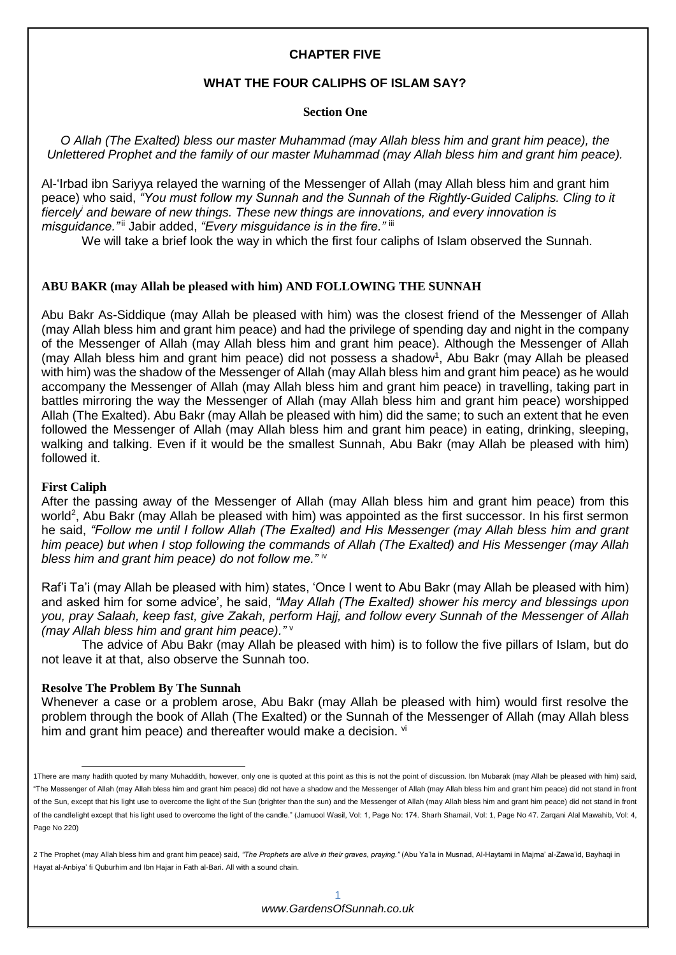## **CHAPTER FIVE**

#### **WHAT THE FOUR CALIPHS OF ISLAM SAY?**

#### **Section One**

*O Allah (The Exalted) bless our master Muhammad (may Allah bless him and grant him peace), the Unlettered Prophet and the family of our master Muhammad (may Allah bless him and grant him peace).*

Al-'Irbad ibn Sariyya relayed the warning of the Messenger of Allah (may Allah bless him and grant him peace) who said, *"You must follow my Sunnah and the Sunnah of the Rightly-Guided Caliphs. Cling to it fiercely<sup>i</sup> and beware of new things. These new things are innovations, and every innovation is misguidance."*ii Jabir added, *"Every misguidance is in the fire."* iii

We will take a brief look the way in which the first four caliphs of Islam observed the Sunnah.

#### **ABU BAKR (may Allah be pleased with him) AND FOLLOWING THE SUNNAH**

Abu Bakr As-Siddique (may Allah be pleased with him) was the closest friend of the Messenger of Allah (may Allah bless him and grant him peace) and had the privilege of spending day and night in the company of the Messenger of Allah (may Allah bless him and grant him peace). Although the Messenger of Allah (may Allah bless him and grant him peace) did not possess a shadow<sup>1</sup>, Abu Bakr (may Allah be pleased with him) was the shadow of the Messenger of Allah (may Allah bless him and grant him peace) as he would accompany the Messenger of Allah (may Allah bless him and grant him peace) in travelling, taking part in battles mirroring the way the Messenger of Allah (may Allah bless him and grant him peace) worshipped Allah (The Exalted). Abu Bakr (may Allah be pleased with him) did the same; to such an extent that he even followed the Messenger of Allah (may Allah bless him and grant him peace) in eating, drinking, sleeping, walking and talking. Even if it would be the smallest Sunnah, Abu Bakr (may Allah be pleased with him) followed it.

#### **First Caliph**

-

After the passing away of the Messenger of Allah (may Allah bless him and grant him peace) from this world<sup>2</sup>, Abu Bakr (may Allah be pleased with him) was appointed as the first successor. In his first sermon he said, *"Follow me until I follow Allah (The Exalted) and His Messenger (may Allah bless him and grant him peace) but when I stop following the commands of Allah (The Exalted) and His Messenger (may Allah bless him and grant him peace) do not follow me."* iv

Raf'i Ta'i (may Allah be pleased with him) states, 'Once I went to Abu Bakr (may Allah be pleased with him) and asked him for some advice', he said, *"May Allah (The Exalted) shower his mercy and blessings upon you, pray Salaah, keep fast, give Zakah, perform Hajj, and follow every Sunnah of the Messenger of Allah (may Allah bless him and grant him peace)."* <sup>v</sup>

The advice of Abu Bakr (may Allah be pleased with him) is to follow the five pillars of Islam, but do not leave it at that, also observe the Sunnah too.

### **Resolve The Problem By The Sunnah**

Whenever a case or a problem arose, Abu Bakr (may Allah be pleased with him) would first resolve the problem through the book of Allah (The Exalted) or the Sunnah of the Messenger of Allah (may Allah bless him and grant him peace) and thereafter would make a decision. vi

<sup>1</sup>There are many hadith quoted by many Muhaddith, however, only one is quoted at this point as this is not the point of discussion. Ibn Mubarak (may Allah be pleased with him) said, "The Messenger of Allah (may Allah bless him and grant him peace) did not have a shadow and the Messenger of Allah (may Allah bless him and grant him peace) did not stand in front of the Sun, except that his light use to overcome the light of the Sun (brighter than the sun) and the Messenger of Allah (may Allah bless him and grant him peace) did not stand in front of the candlelight except that his light used to overcome the light of the candle." (Jamuool Wasil, Vol: 1, Page No: 174. Sharh Shamail, Vol: 1, Page No 47. Zarqani Alal Mawahib, Vol: 4, Page No 220)

<sup>2</sup> The Prophet (may Allah bless him and grant him peace) said, *"The Prophets are alive in their graves, praying."* (Abu Ya'la in Musnad, Al-Haytami in Majma' al-Zawa'id, Bayhaqi in Hayat al-Anbiya' fi Quburhim and Ibn Hajar in Fath al-Bari. All with a sound chain.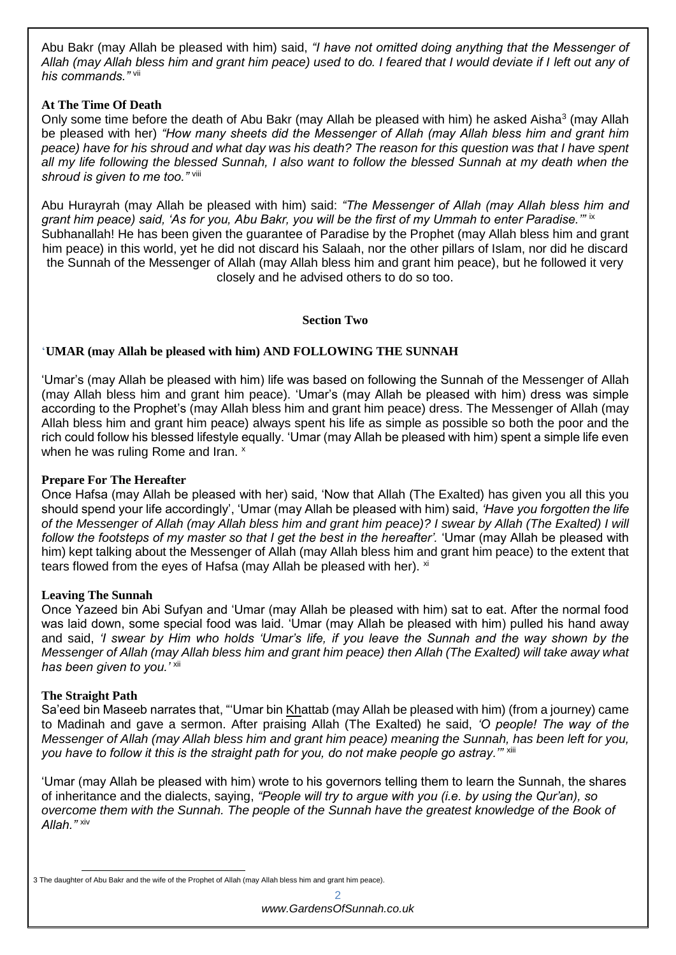Abu Bakr (may Allah be pleased with him) said, *"I have not omitted doing anything that the Messenger of Allah (may Allah bless him and grant him peace) used to do. I feared that I would deviate if I left out any of his commands."* vii

## **At The Time Of Death**

Only some time before the death of Abu Bakr (may Allah be pleased with him) he asked Aisha<sup>3</sup> (may Allah be pleased with her) *"How many sheets did the Messenger of Allah (may Allah bless him and grant him peace) have for his shroud and what day was his death? The reason for this question was that I have spent all my life following the blessed Sunnah, I also want to follow the blessed Sunnah at my death when the shroud is given to me too."* viii

Abu Hurayrah (may Allah be pleased with him) said: *"The Messenger of Allah (may Allah bless him and grant him peace) said, 'As for you, Abu Bakr, you will be the first of my Ummah to enter Paradise.'"* ix Subhanallah! He has been given the guarantee of Paradise by the Prophet (may Allah bless him and grant him peace) in this world, yet he did not discard his Salaah, nor the other pillars of Islam, nor did he discard the Sunnah of the Messenger of Allah (may Allah bless him and grant him peace), but he followed it very closely and he advised others to do so too.

### **Section Two**

## '**UMAR (may Allah be pleased with him) AND FOLLOWING THE SUNNAH**

'Umar's (may Allah be pleased with him) life was based on following the Sunnah of the Messenger of Allah (may Allah bless him and grant him peace). 'Umar's (may Allah be pleased with him) dress was simple according to the Prophet's (may Allah bless him and grant him peace) dress. The Messenger of Allah (may Allah bless him and grant him peace) always spent his life as simple as possible so both the poor and the rich could follow his blessed lifestyle equally. 'Umar (may Allah be pleased with him) spent a simple life even when he was ruling Rome and Iran. x

### **Prepare For The Hereafter**

Once Hafsa (may Allah be pleased with her) said, 'Now that Allah (The Exalted) has given you all this you should spend your life accordingly', 'Umar (may Allah be pleased with him) said, *'Have you forgotten the life of the Messenger of Allah (may Allah bless him and grant him peace)? I swear by Allah (The Exalted) I will follow the footsteps of my master so that I get the best in the hereafter'.* 'Umar (may Allah be pleased with him) kept talking about the Messenger of Allah (may Allah bless him and grant him peace) to the extent that tears flowed from the eyes of Hafsa (may Allah be pleased with her). xi

### **Leaving The Sunnah**

Once Yazeed bin Abi Sufyan and 'Umar (may Allah be pleased with him) sat to eat. After the normal food was laid down, some special food was laid. 'Umar (may Allah be pleased with him) pulled his hand away and said, *'I swear by Him who holds 'Umar's life, if you leave the Sunnah and the way shown by the Messenger of Allah (may Allah bless him and grant him peace) then Allah (The Exalted) will take away what has been given to you.'* xii

### **The Straight Path**

Sa'eed bin Maseeb narrates that, "'Umar bin Khattab (may Allah be pleased with him) (from a journey) came to Madinah and gave a sermon. After praising Allah (The Exalted) he said, *'O people! The way of the Messenger of Allah (may Allah bless him and grant him peace) meaning the Sunnah, has been left for you,*  you have to follow it this is the straight path for you, do not make people go astray."" xiii

'Umar (may Allah be pleased with him) wrote to his governors telling them to learn the Sunnah, the shares of inheritance and the dialects, saying, *"People will try to argue with you (i.e. by using the Qur'an), so overcome them with the Sunnah. The people of the Sunnah have the greatest knowledge of the Book of Allah."* xiv

<sup>-</sup>3 The daughter of Abu Bakr and the wife of the Prophet of Allah (may Allah bless him and grant him peace).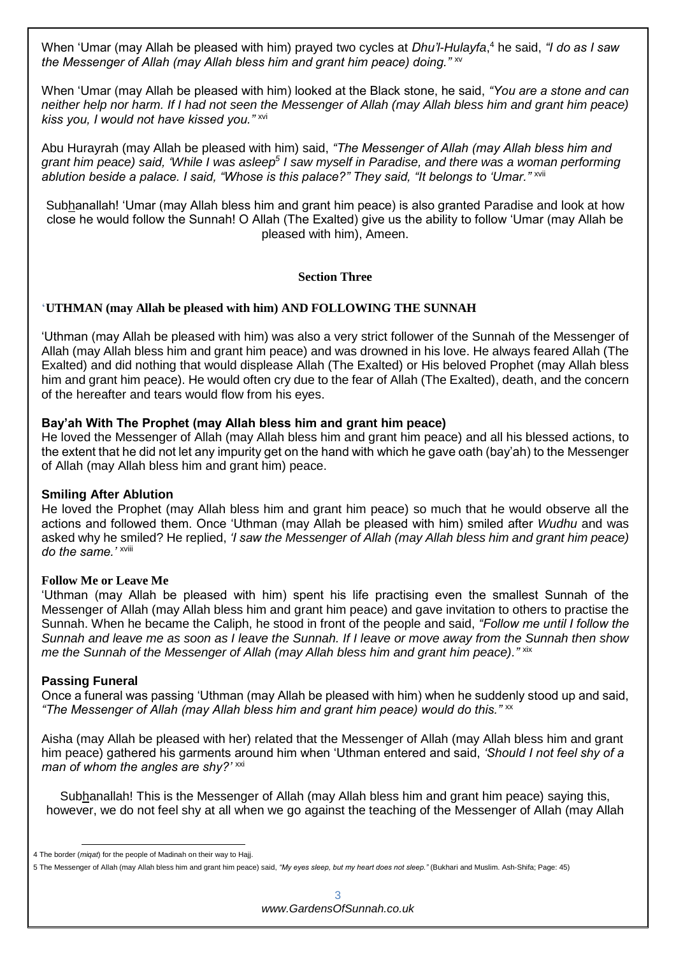When 'Umar (may Allah be pleased with him) prayed two cycles at *Dhu'l-Hulayfa*, <sup>4</sup> he said, *"I do as I saw the Messenger of Allah (may Allah bless him and grant him peace) doing.*"  $\frac{x}{x}$ 

When 'Umar (may Allah be pleased with him) looked at the Black stone, he said, *"You are a stone and can neither help nor harm. If I had not seen the Messenger of Allah (may Allah bless him and grant him peace) kiss you, I would not have kissed you."* xvi

Abu Hurayrah (may Allah be pleased with him) said, *"The Messenger of Allah (may Allah bless him and grant him peace) said, 'While I was asleep<sup>5</sup> I saw myself in Paradise, and there was a woman performing ablution beside a palace. I said, "Whose is this palace?" They said, "It belongs to 'Umar."* xvii

Subhanallah! 'Umar (may Allah bless him and grant him peace) is also granted Paradise and look at how close he would follow the Sunnah! O Allah (The Exalted) give us the ability to follow 'Umar (may Allah be pleased with him), Ameen.

### **Section Three**

# '**UTHMAN (may Allah be pleased with him) AND FOLLOWING THE SUNNAH**

'Uthman (may Allah be pleased with him) was also a very strict follower of the Sunnah of the Messenger of Allah (may Allah bless him and grant him peace) and was drowned in his love. He always feared Allah (The Exalted) and did nothing that would displease Allah (The Exalted) or His beloved Prophet (may Allah bless him and grant him peace). He would often cry due to the fear of Allah (The Exalted), death, and the concern of the hereafter and tears would flow from his eyes.

## **Bay'ah With The Prophet (may Allah bless him and grant him peace)**

He loved the Messenger of Allah (may Allah bless him and grant him peace) and all his blessed actions, to the extent that he did not let any impurity get on the hand with which he gave oath (bay'ah) to the Messenger of Allah (may Allah bless him and grant him) peace.

### **Smiling After Ablution**

He loved the Prophet (may Allah bless him and grant him peace) so much that he would observe all the actions and followed them. Once 'Uthman (may Allah be pleased with him) smiled after *Wudhu* and was asked why he smiled? He replied, *'I saw the Messenger of Allah (may Allah bless him and grant him peace) do the same.'* xviii

### **Follow Me or Leave Me**

'Uthman (may Allah be pleased with him) spent his life practising even the smallest Sunnah of the Messenger of Allah (may Allah bless him and grant him peace) and gave invitation to others to practise the Sunnah. When he became the Caliph, he stood in front of the people and said, *"Follow me until I follow the Sunnah and leave me as soon as I leave the Sunnah. If I leave or move away from the Sunnah then show me the Sunnah of the Messenger of Allah (may Allah bless him and grant him peace)."*  $\frac{1}{x}$   $\frac{1}{x}$ 

### **Passing Funeral**

-

Once a funeral was passing 'Uthman (may Allah be pleased with him) when he suddenly stood up and said, *"The Messenger of Allah (may Allah bless him and grant him peace) would do this."*  $\cdot$ 

Aisha (may Allah be pleased with her) related that the Messenger of Allah (may Allah bless him and grant him peace) gathered his garments around him when 'Uthman entered and said, *'Should I not feel shy of a man of whom the angles are shy?'* xxi

Subhanallah! This is the Messenger of Allah (may Allah bless him and grant him peace) saying this, however, we do not feel shy at all when we go against the teaching of the Messenger of Allah (may Allah

<sup>4</sup> The border (*miqat*) for the people of Madinah on their way to Hajj.

<sup>5</sup> The Messenger of Allah (may Allah bless him and grant him peace) said, *"My eyes sleep, but my heart does not sleep."* (Bukhari and Muslim. Ash-Shifa; Page: 45)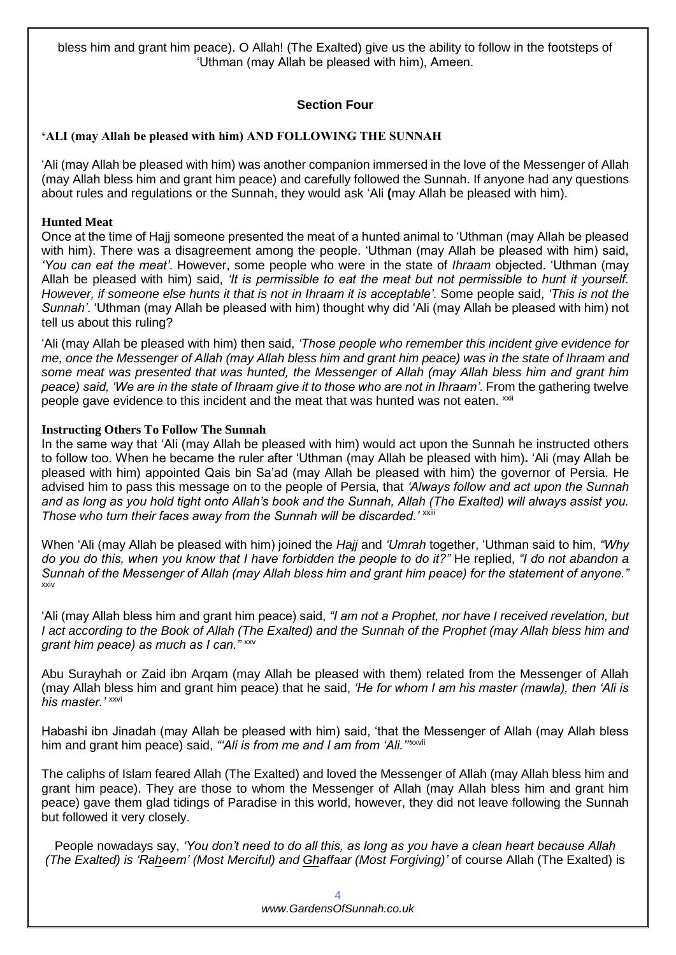bless him and grant him peace). O Allah! (The Exalted) give us the ability to follow in the footsteps of 'Uthman (may Allah be pleased with him), Ameen.

# **Section Four**

# **'ALI (may Allah be pleased with him) AND FOLLOWING THE SUNNAH**

'Ali (may Allah be pleased with him) was another companion immersed in the love of the Messenger of Allah (may Allah bless him and grant him peace) and carefully followed the Sunnah. If anyone had any questions about rules and regulations or the Sunnah, they would ask 'Ali **(**may Allah be pleased with him).

# **Hunted Meat**

Once at the time of Hajj someone presented the meat of a hunted animal to 'Uthman (may Allah be pleased with him). There was a disagreement among the people. 'Uthman (may Allah be pleased with him) said, *'You can eat the meat'*. However, some people who were in the state of *Ihraam* objected. 'Uthman (may Allah be pleased with him) said, *'It is permissible to eat the meat but not permissible to hunt it yourself. However, if someone else hunts it that is not in Ihraam it is acceptable'*. Some people said, *'This is not the Sunnah'*. 'Uthman (may Allah be pleased with him) thought why did 'Ali (may Allah be pleased with him) not tell us about this ruling?

'Ali (may Allah be pleased with him) then said, *'Those people who remember this incident give evidence for me, once the Messenger of Allah (may Allah bless him and grant him peace) was in the state of Ihraam and some meat was presented that was hunted, the Messenger of Allah (may Allah bless him and grant him peace) said, 'We are in the state of Ihraam give it to those who are not in Ihraam'*. From the gathering twelve people gave evidence to this incident and the meat that was hunted was not eaten.  $^{xxi}$ 

# **Instructing Others To Follow The Sunnah**

In the same way that 'Ali (may Allah be pleased with him) would act upon the Sunnah he instructed others to follow too. When he became the ruler after 'Uthman (may Allah be pleased with him)**.** 'Ali (may Allah be pleased with him) appointed Qais bin Sa'ad (may Allah be pleased with him) the governor of Persia. He advised him to pass this message on to the people of Persia, that *'Always follow and act upon the Sunnah and as long as you hold tight onto Allah's book and the Sunnah, Allah (The Exalted) will always assist you.*  Those who turn their faces away from the Sunnah will be discarded.'<sup>xxiii</sup>

When 'Ali (may Allah be pleased with him) joined the *Hajj* and *'Umrah* together, 'Uthman said to him, *"Why do you do this, when you know that I have forbidden the people to do it?"* He replied, *"I do not abandon a Sunnah of the Messenger of Allah (may Allah bless him and grant him peace) for the statement of anyone."* xxiv

'Ali (may Allah bless him and grant him peace) said, *"I am not a Prophet, nor have I received revelation, but I act according to the Book of Allah (The Exalted) and the Sunnah of the Prophet (may Allah bless him and grant him peace) as much as I can."* xxv

Abu Surayhah or Zaid ibn Arqam (may Allah be pleased with them) related from the Messenger of Allah (may Allah bless him and grant him peace) that he said, *'He for whom I am his master (mawla), then 'Ali is his master.'* xxvi

Habashi ibn Jinadah (may Allah be pleased with him) said, 'that the Messenger of Allah (may Allah bless him and grant him peace) said, "Ali is from me and I am from 'Ali."<sup>xxvii</sup>

The caliphs of Islam feared Allah (The Exalted) and loved the Messenger of Allah (may Allah bless him and grant him peace). They are those to whom the Messenger of Allah (may Allah bless him and grant him peace) gave them glad tidings of Paradise in this world, however, they did not leave following the Sunnah but followed it very closely.

People nowadays say, *'You don't need to do all this, as long as you have a clean heart because Allah (The Exalted) is 'Raheem' (Most Merciful) and Ghaffaar (Most Forgiving)'* of course Allah (The Exalted) is